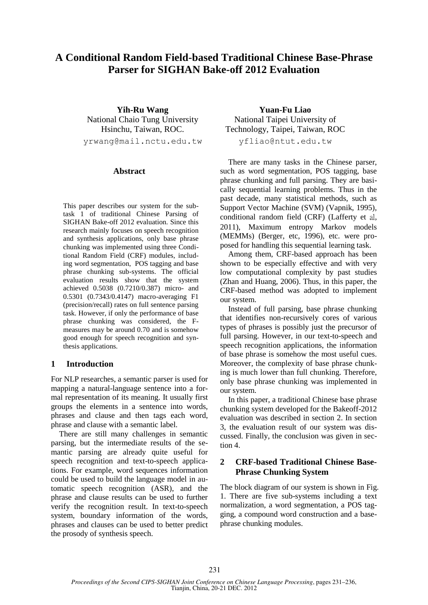# **A Conditional Random Field-based Traditional Chinese Base-Phrase Parser for SIGHAN Bake-off 2012 Evaluation**

**Yih-Ru Wang** National Chaio Tung University Hsinchu, Taiwan, ROC. yrwang@mail.nctu.edu.tw

#### **Abstract**

This paper describes our system for the subtask 1 of traditional Chinese Parsing of SIGHAN Bake-off 2012 evaluation. Since this research mainly focuses on speech recognition and synthesis applications, only base phrase chunking was implemented using three Conditional Random Field (CRF) modules, including word segmentation, POS tagging and base phrase chunking sub-systems. The official evaluation results show that the system achieved 0.5038 (0.7210/0.387) micro- and 0.5301 (0.7343/0.4147) macro-averaging F1 (precision/recall) rates on full sentence parsing task. However, if only the performance of base phrase chunking was considered, the Fmeasures may be around 0.70 and is somehow good enough for speech recognition and synthesis applications.

#### **1 Introduction**

For NLP researches, a semantic parser is used for mapping a natural-language sentence into a formal representation of its meaning. It usually first groups the elements in a sentence into words, phrases and clause and then tags each word, phrase and clause with a semantic label.

There are still many challenges in semantic parsing, but the intermediate results of the semantic parsing are already quite useful for speech recognition and text-to-speech applications. For example, word sequences information could be used to build the language model in automatic speech recognition (ASR), and the phrase and clause results can be used to further verify the recognition result. In text-to-speech system, boundary information of the words, phrases and clauses can be used to better predict the prosody of synthesis speech.

**Yuan-Fu Liao** National Taipei University of Technology, Taipei, Taiwan, ROC yfliao@ntut.edu.tw

There are many tasks in the Chinese parser, such as word segmentation, POS tagging, base phrase chunking and full parsing. They are basically sequential learning problems. Thus in the past decade, many statistical methods, such as Support Vector Machine (SVM) (Vapnik, 1995), conditional random field (CRF) (Lafferty et al, 2011), Maximum entropy Markov models

posed for handling this sequential learning task. Among them, CRF-based approach has been shown to be especially effective and with very low computational complexity by past studies (Zhan and Huang, 2006). Thus, in this paper, the CRF-based method was adopted to implement our system.

(MEMMs) (Berger, etc, 1996), etc. were pro-

Instead of full parsing, base phrase chunking that identifies non-recursively cores of various types of phrases is possibly just the precursor of full parsing. However, in our text-to-speech and speech recognition applications, the information of base phrase is somehow the most useful cues. Moreover, the complexity of base phrase chunking is much lower than full chunking. Therefore, only base phrase chunking was implemented in our system.

In this paper, a traditional Chinese base phrase chunking system developed for the Bakeoff-2012 evaluation was described in section 2. In section 3, the evaluation result of our system was discussed. Finally, the conclusion was given in section 4.

# **2 CRF-based Traditional Chinese Base-Phrase Chunking System**

The block diagram of our system is shown in Fig. 1. There are five sub-systems including a text normalization, a word segmentation, a POS tagging, a compound word construction and a basephrase chunking modules.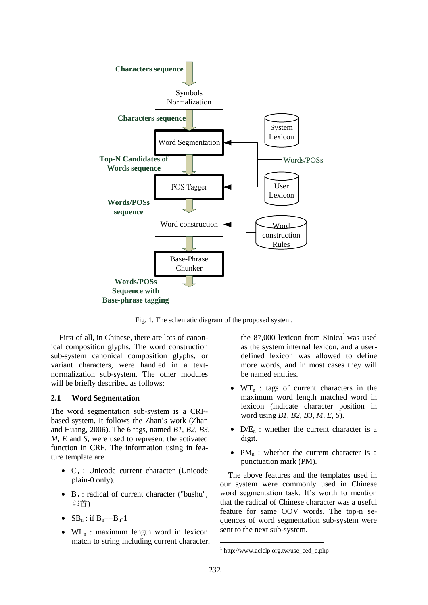

Fig. 1. The schematic diagram of the proposed system.

First of all, in Chinese, there are lots of canonical composition glyphs. The word construction sub-system canonical composition glyphs, or variant characters, were handled in a textnormalization sub-system. The other modules will be briefly described as follows:

#### **2.1 Word Segmentation**

The word segmentation sub-system is a CRFbased system. It follows the Zhan's work (Zhan and Huang, 2006). The 6 tags, named *B1*, *B2*, *B3*, *M*, *E* and *S*, were used to represent the activated function in CRF. The information using in feature template are

- $\bullet$  C<sub>n</sub> : Unicode current character (Unicode plain-0 only).
- $\bullet$  B<sub>n</sub>: radical of current character ("bushu", 部首)
- $\bullet$  SB<sub>n</sub>: if B<sub>n</sub>==B<sub>n</sub>-1
- $\bullet$  WL<sub>n</sub>: maximum length word in lexicon match to string including current character,

the  $87,000$  lexicon from Sinica<sup>1</sup> was used as the system internal lexicon, and a userdefined lexicon was allowed to define more words, and in most cases they will be named entities.

- $\bullet$  WT<sub>n</sub>: tags of current characters in the maximum word length matched word in lexicon (indicate character position in word using *B1, B2, B3, M, E, S*).
- $\bullet$  D/E<sub>n</sub>: whether the current character is a digit.
- $PM_n$  : whether the current character is a punctuation mark (PM).

The above features and the templates used in our system were commonly used in Chinese word segmentation task. It's worth to mention that the radical of Chinese character was a useful feature for same OOV words. The top-n sequences of word segmentation sub-system were sent to the next sub-system.

<sup>1</sup> http://www.aclclp.org.tw/use\_ced\_c.php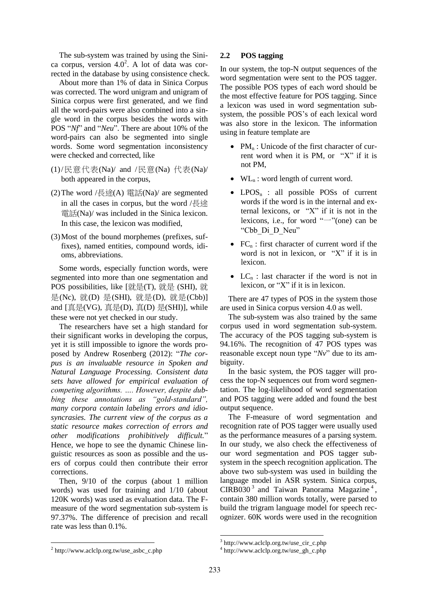The sub-system was trained by using the Sinica corpus, version  $4.0<sup>2</sup>$ . A lot of data was corrected in the database by using consistence check.

About more than 1% of data in Sinica Corpus was corrected. The word unigram and unigram of Sinica corpus were first generated, and we find all the word-pairs were also combined into a single word in the corpus besides the words with POS "*Nf*" and "*Neu*". There are about 10% of the word-pairs can also be segmented into single words. Some word segmentation inconsistency were checked and corrected, like

- (1)/民意代表(Na)/ and /民意(Na) 代表(Na)/ both appeared in the corpus,
- (2) The word /長途(A) 電話(Na)/ are segmented in all the cases in corpus, but the word /長途 電話(Na)/ was included in the Sinica lexicon. In this case, the lexicon was modified,
- (3)Most of the bound morphemes (prefixes, suffixes), named entities, compound words, idioms, abbreviations.

Some words, especially function words, were segmented into more than one segmentation and POS possibilities, like [就是(T), 就是 (SHI), 就 是(Nc), 就(D) 是(SHI), 就是(D), 就是(Cbb)] and  $[\bar{\text{I}}\bar{\text{I}}\bar{\text{E}}(VG), \bar{\text{I}}\bar{\text{I}}\bar{\text{E}}(D), \bar{\text{I}}\bar{\text{I}}(D), \bar{\text{I}}\bar{\text{I}}(SHI)]$ , while these were not yet checked in our study.

The researchers have set a high standard for their significant works in developing the corpus, yet it is still impossible to ignore the words proposed by Andrew Rosenberg (2012): "*The corpus is an invaluable resource in Spoken and Natural Language Processing. Consistent data sets have allowed for empirical evaluation of competing algorithms. …. However, despite dubbing these annotations as "gold-standard", many corpora contain labeling errors and idiosyncrasies. The current view of the corpus as a static resource makes correction of errors and other modifications prohibitively difficult.*" Hence, we hope to see the dynamic Chinese linguistic resources as soon as possible and the users of corpus could then contribute their error corrections.

Then, 9/10 of the corpus (about 1 million words) was used for training and 1/10 (about 120K words) was used as evaluation data. The Fmeasure of the word segmentation sub-system is 97.37%. The difference of precision and recall rate was less than 0.1%.

#### **2.2 POS tagging**

In our system, the top-N output sequences of the word segmentation were sent to the POS tagger. The possible POS types of each word should be the most effective feature for POS tagging. Since a lexicon was used in word segmentation subsystem, the possible POS's of each lexical word was also store in the lexicon. The information using in feature template are

- $PM_n$ : Unicode of the first character of current word when it is PM, or "X" if it is not PM,
- $\bullet$  WL<sub>n</sub>: word length of current word.
- LPOS<sub>n</sub> : all possible POSs of current words if the word is in the internal and external lexicons, or "X" if it is not in the lexicons, i.e., for word " $\neg$ "(one) can be "Cbb\_Di\_D\_Neu"
- $FC_n$ : first character of current word if the word is not in lexicon, or "X" if it is in lexicon.
- $LC_n$ : last character if the word is not in lexicon, or "X" if it is in lexicon.

There are 47 types of POS in the system those are used in Sinica corpus version 4.0 as well.

The sub-system was also trained by the same corpus used in word segmentation sub-system. The accuracy of the POS tagging sub-system is 94.16%. The recognition of 47 POS types was reasonable except noun type "*Nv*" due to its ambiguity.

In the basic system, the POS tagger will process the top-N sequences out from word segmentation. The log-likelihood of word segmentation and POS tagging were added and found the best output sequence.

The F-measure of word segmentation and recognition rate of POS tagger were usually used as the performance measures of a parsing system. In our study, we also check the effectiveness of our word segmentation and POS tagger subsystem in the speech recognition application. The above two sub-system was used in building the language model in ASR system. Sinica corpus, CIRB030<sup>3</sup> and Taiwan Panorama Magazine<sup>4</sup>, contain 380 million words totally, were parsed to build the trigram language model for speech recognizer. 60K words were used in the recognition

<sup>3</sup> http://www.aclclp.org.tw/use\_cir\_c.php

<sup>4</sup> http://www.aclclp.org.tw/use\_gh\_c.php

<sup>2</sup> http://www.aclclp.org.tw/use\_asbc\_c.php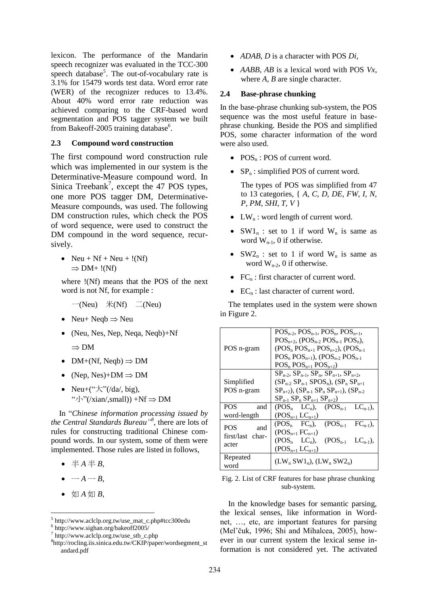lexicon. The performance of the Mandarin speech recognizer was evaluated in the TCC-300 speech database<sup>5</sup>. The out-of-vocabulary rate is 3.1% for 15479 words test data. Word error rate (WER) of the recognizer reduces to 13.4%. About 40% word error rate reduction was achieved comparing to the CRF-based word segmentation and POS tagger system we built from Bakeoff-2005 training database<sup>6</sup>.

### **2.3 Compound word construction**

The first compound word construction rule which was implemented in our system is the Determinative-Measure compound word. In Sinica Treebank<sup>7</sup>, except the 47 POS types, one more POS tagger DM, Determinative-Measure compounds, was used. The following DM construction rules, which check the POS of word sequence, were used to construct the DM compound in the word sequence, recursively.

• Neu + Nf + Neu +  $!(Nf)$  $\Rightarrow$  DM+ !(Nf)

where !(Nf) means that the POS of the next word is not Nf, for example :

$$
-(Neu) \quad \text{*(Nf)} \quad \square (\text{Neu})
$$

- Neu+ Neab  $\Rightarrow$  Neu
- (Neu, Nes, Nep, Neqa, Neqb)+Nf
	- $\Rightarrow$  DM
- DM+(Nf, Neqb)  $\Rightarrow$  DM
- (Nep, Nes)+ $DM \Rightarrow DM$
- Neu+ $(" \nmid x" / (da, big),$ " $\sqrt{\sqrt{N}}$ "(/xian/,small)) +Nf  $\Rightarrow$  DM

In "*Chinese information processing issued by the Central Standards Bureau" 8* , there are lots of rules for constructing traditional Chinese compound words. In our system, some of them were implemented. Those rules are listed in follows,

- $\bullet \#A \# B$
- $\bullet$   $-A B$
- 如  $A \nsubseteq B$ ,

- *ADAB*, *D* is a character with POS *Di,*
- *AABB*, *AB* is a lexical word with POS *Vx,* where *A*, *B* are single character.

# **2.4 Base-phrase chunking**

In the base-phrase chunking sub-system, the POS sequence was the most useful feature in basephrase chunking. Beside the POS and simplified POS, some character information of the word were also used.

- $\bullet$  POS<sub>n</sub>: POS of current word.
- $SP_n$ : simplified POS of current word.

The types of POS was simplified from 47 to 13 categories, { *A, C, D, DE, FW, I, N, P, PM, SHI, T, V* }

- $\bullet$  LW<sub>n</sub>: word length of current word.
- $SW1_n$  : set to 1 if word  $W_n$  is same as word  $W_{n-1}$ , 0 if otherwise.
- $SW2_n$  : set to 1 if word  $W_n$  is same as word  $W_{n-2}$ , 0 if otherwise.
- $FC_n$ : first character of current word.
- $\bullet$  EC<sub>n</sub>: last character of current word.

The templates used in the system were shown in Figure 2.

|                         | $POS_{n-2}$ , $POS_{n-1}$ , $POS_{n}$ , $POS_{n+1}$ ,         |  |  |
|-------------------------|---------------------------------------------------------------|--|--|
|                         | $POS_{n+2}$ , $(POS_{n-2}POS_{n-1}POS_{n})$ ,                 |  |  |
| POS n-gram              | $(POS_{n}POS_{n+1}POS_{n+2})$ , $(POS_{n-1}$                  |  |  |
|                         | $POS_{n}POS_{n+1}$ ), ( $POS_{n-2}POS_{n-1}$                  |  |  |
|                         | $POS_{n}POS_{n+1}POS_{n+2})$                                  |  |  |
|                         | $SP_{n-2}$ , $SP_{n-1}$ , $SP_n$ , $SP_{n+1}$ , $SP_{n+2}$ ,  |  |  |
| Simplified              | $(SP_{n-2} SP_{n-1} SPOS_n)$ , $(SP_n SP_{n+1}$               |  |  |
| POS n-gram              | $SP_{n+2}$ ), $SP_{n-1}$ $SP_n$ $SP_{n+1}$ ), $SP_{n-2}$      |  |  |
|                         | $SP_{n-1}$ $SP_n$ $SP_{n+1}$ $SP_{n+2}$ )                     |  |  |
| <b>POS</b><br>and       | $(POS_{n} LC_{n}), (POS_{n-1} LC_{n-1}),$                     |  |  |
| word-length             | $(POS_{n+1} LC_{n+1})$                                        |  |  |
| POS                     | $(POS_n$ FC <sub>n</sub> ), $(POS_{n-1}$ FC <sub>n-1</sub> ), |  |  |
| and<br>first/last char- | $(POS_{n+1}FC_{n+1})$                                         |  |  |
|                         | $(POS_n LC_n)$ , $(POS_{n-1} LC_{n-1})$ ,                     |  |  |
| acter                   | $(POS_{n+1} LC_{n+1})$                                        |  |  |
| Repeated                |                                                               |  |  |
| word                    | $(LW_n SW1_n)$ , $(LW_n SW2_n)$                               |  |  |

Fig. 2. List of CRF features for base phrase chunking sub-system.

In the knowledge bases for semantic parsing, the lexical senses, like information in Wordnet, …, etc, are important features for parsing (Mel'čuk, 1996; Shi and Mihalcea, 2005), however in our current system the lexical sense information is not considered yet. The activated

<sup>5</sup> http://www.aclclp.org.tw/use\_mat\_c.php#tcc300edu

<sup>6</sup> http://www.sighan.org/bakeoff2005/

<sup>7</sup> http://www.aclclp.org.tw/use\_stb\_c.php

<sup>8</sup> http://rocling.iis.sinica.edu.tw/CKIP/paper/wordsegment\_st andard.pdf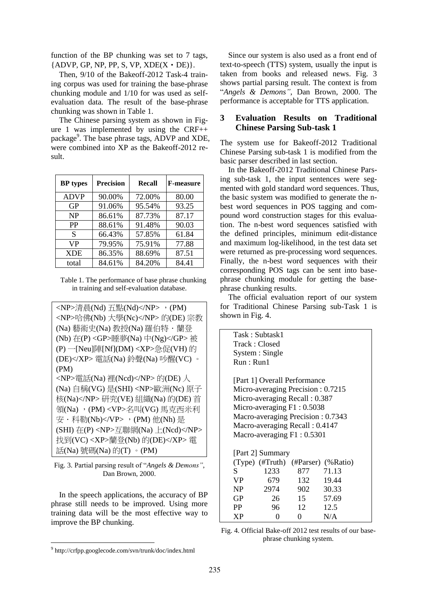function of the BP chunking was set to 7 tags,  ${ADVP, GP, NP, PP, S, VP, XDE(X \cdot DE)}.$ 

Then, 9/10 of the Bakeoff-2012 Task-4 training corpus was used for training the base-phrase chunking module and 1/10 for was used as selfevaluation data. The result of the base-phrase chunking was shown in Table 1.

The Chinese parsing system as shown in Figure 1 was implemented by using the CRF++ package<sup>9</sup>. The base phrase tags, ADVP and XDE, were combined into XP as the Bakeoff-2012 result.

| <b>BP</b> types | <b>Precision</b> | Recall | <b>F-measure</b> |
|-----------------|------------------|--------|------------------|
| <b>ADVP</b>     | 90.00%           | 72.00% | 80.00            |
| <b>GP</b>       | 91.06%           | 95.54% | 93.25            |
| NP              | 86.61%           | 87.73% | 87.17            |
| <b>PP</b>       | 88.61%           | 91.48% | 90.03            |
| S               | 66.43%           | 57.85% | 61.84            |
| <b>VP</b>       | 79.95%           | 75.91% | 77.88            |
| <b>XDE</b>      | 86.35%           | 88.69% | 87.51            |
| total           | 84.61%           | 84.20% | 84.41            |

Table 1. The performance of base phrase chunking in training and self-evaluation database.

```
<NP>清晨(Nd) 五點(Nd)</NP>, (PM)
<NP>哈佛(Nb) 大學(Nc)</NP> 的(DE) 宗教
(Na) 藝術史(Na) 教授(Na) 羅伯特.蘭登
(Nb) 在(P) <GP>睡夢(Na) 中(Ng)</GP> 被
(P) 一[Neu]陣[Nf](DM) <XP>急促(VH) 的
(DE)</XP> 電話(Na) 鈴聲(Na) 吵醒(VC) 。
(PM) 
<NP>電話(Na) 裡(Ncd)</NP> 的(DE) 人
(Na) 自稱(VG) 是(SHI) <NP>歐洲(Nc) 原子
核(Na)</NP> 研究(VE) 組織(Na) 的(DE) 首
領(Na), (PM) <VP>名叫(VG) 馬克西米利
安·科勒(Nb)</VP>, (PM) 他(Nh) 是
(SHI) 在(P) <NP>互聯網(Na) 上(Ncd)</NP> 
找到(VC) <XP>蘭登(Nb) 的(DE)</XP> 電
話(Na) 號碼(Na) 的(T) 。(PM)
```
Fig. 3. Partial parsing result of "*Angels & Demons"*, Dan Brown, 2000.

In the speech applications, the accuracy of BP phrase still needs to be improved. Using more training data will be the most effective way to improve the BP chunking.

Since our system is also used as a front end of text-to-speech (TTS) system, usually the input is taken from books and released news. Fig. 3 shows partial parsing result. The context is from "*Angels & Demons"*, Dan Brown, 2000. The performance is acceptable for TTS application.

# **3 Evaluation Results on Traditional Chinese Parsing Sub-task 1**

The system use for Bakeoff-2012 Traditional Chinese Parsing sub-task 1 is modified from the basic parser described in last section.

In the Bakeoff-2012 Traditional Chinese Parsing sub-task 1, the input sentences were segmented with gold standard word sequences. Thus, the basic system was modified to generate the nbest word sequences in POS tagging and compound word construction stages for this evaluation. The n-best word sequences satisfied with the defined principles, minimum edit-distance and maximum log-likelihood, in the test data set were returned as pre-processing word sequences. Finally, the n-best word sequences with their corresponding POS tags can be sent into basephrase chunking module for getting the basephrase chunking results.

The official evaluation report of our system for Traditional Chinese Parsing sub-Task 1 is shown in Fig. 4.

|           | Task: Subtask1                    |     |                                    |  |  |  |
|-----------|-----------------------------------|-----|------------------------------------|--|--|--|
|           | Track: Closed                     |     |                                    |  |  |  |
|           | System : Single                   |     |                                    |  |  |  |
|           | Run: Run1                         |     |                                    |  |  |  |
|           |                                   |     |                                    |  |  |  |
|           | [Part 1] Overall Performance      |     |                                    |  |  |  |
|           | Micro-averaging Precision: 0.7215 |     |                                    |  |  |  |
|           | Micro-averaging Recall: 0.387     |     |                                    |  |  |  |
|           | Micro-averaging F1: 0.5038        |     |                                    |  |  |  |
|           | Macro-averaging Precision: 0.7343 |     |                                    |  |  |  |
|           | Macro-averaging Recall: 0.4147    |     |                                    |  |  |  |
|           | Macro-averaging $F1: 0.5301$      |     |                                    |  |  |  |
|           |                                   |     |                                    |  |  |  |
|           | [Part 2] Summary                  |     |                                    |  |  |  |
|           |                                   |     | (Type) (#Truth) (#Parser) (%Ratio) |  |  |  |
| S.        | 1233                              | 877 | 71.13                              |  |  |  |
| VP.       | 679                               | 132 | 19.44                              |  |  |  |
| NP        | 2974                              |     | 902 30.33                          |  |  |  |
| <b>GP</b> | 26                                | 15  | 57.69                              |  |  |  |
| <b>PP</b> | 96                                | 12  | 12.5                               |  |  |  |
| <b>XP</b> | 0                                 | 0   | N/A                                |  |  |  |
|           |                                   |     |                                    |  |  |  |

Fig. 4. Official Bake-off 2012 test results of our basephrase chunking system.

<sup>9</sup> http://crfpp.googlecode.com/svn/trunk/doc/index.html